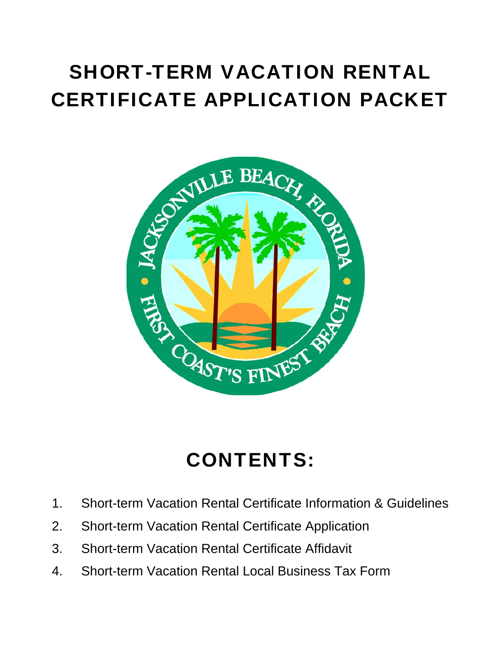# SHORT-TERM VACATION RENTAL CERTIFICATE APPLICATION PACKET



# CONTENTS:

- 1. Short-term Vacation Rental Certificate Information & Guidelines
- 2. Short-term Vacation Rental Certificate Application
- 3. Short-term Vacation Rental Certificate Affidavit
- 4. Short-term Vacation Rental Local Business Tax Form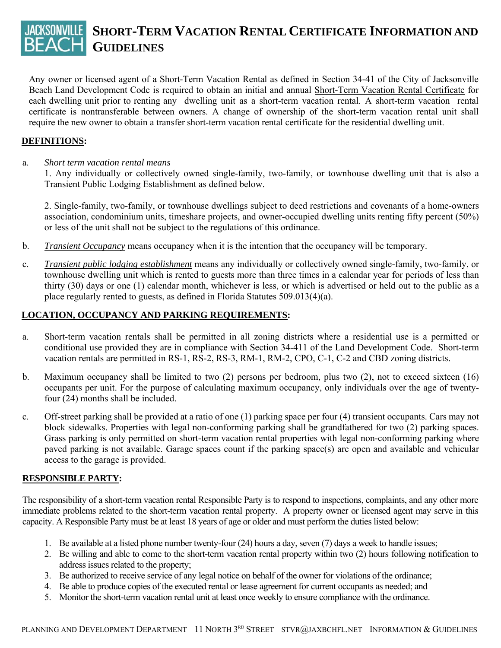# **SHORT-TERM VACATION RENTAL CERTIFICATE INFORMATION AND GUIDELINES**

Any owner or licensed agent of a Short-Term Vacation Rental as defined in Section 34-41 of the City of Jacksonville Beach Land Development Code is required to obtain an initial and annual Short-Term Vacation Rental Certificate for each dwelling unit prior to renting any dwelling unit as a short-term vacation rental. A short-term vacation rental certificate is nontransferable between owners. A change of ownership of the short-term vacation rental unit shall require the new owner to obtain a transfer short-term vacation rental certificate for the residential dwelling unit.

#### **DEFINITIONS:**

#### a. *Short term vacation rental means*

 1. Any individually or collectively owned single-family, two-family, or townhouse dwelling unit that is also a Transient Public Lodging Establishment as defined below.

 2. Single-family, two-family, or townhouse dwellings subject to deed restrictions and covenants of a home-owners association, condominium units, timeshare projects, and owner-occupied dwelling units renting fifty percent (50%) or less of the unit shall not be subject to the regulations of this ordinance.

- b. *Transient Occupancy* means occupancy when it is the intention that the occupancy will be temporary.
- c. *Transient public lodging establishment* means any individually or collectively owned single-family, two-family, or townhouse dwelling unit which is rented to guests more than three times in a calendar year for periods of less than thirty (30) days or one (1) calendar month, whichever is less, or which is advertised or held out to the public as a place regularly rented to guests, as defined in Florida Statutes 509.013(4)(a).

#### **LOCATION, OCCUPANCY AND PARKING REQUIREMENTS:**

- a. Short-term vacation rentals shall be permitted in all zoning districts where a residential use is a permitted or conditional use provided they are in compliance with Section 34-411 of the Land Development Code. Short-term vacation rentals are permitted in RS-1, RS-2, RS-3, RM-1, RM-2, CPO, C-1, C-2 and CBD zoning districts.
- b. Maximum occupancy shall be limited to two (2) persons per bedroom, plus two (2), not to exceed sixteen (16) occupants per unit. For the purpose of calculating maximum occupancy, only individuals over the age of twentyfour (24) months shall be included.
- c. Off-street parking shall be provided at a ratio of one (1) parking space per four (4) transient occupants. Cars may not block sidewalks. Properties with legal non-conforming parking shall be grandfathered for two (2) parking spaces. Grass parking is only permitted on short-term vacation rental properties with legal non-conforming parking where paved parking is not available. Garage spaces count if the parking space(s) are open and available and vehicular access to the garage is provided.

#### **RESPONSIBLE PARTY:**

The responsibility of a short-term vacation rental Responsible Party is to respond to inspections, complaints, and any other more immediate problems related to the short-term vacation rental property. A property owner or licensed agent may serve in this capacity. A Responsible Party must be at least 18 years of age or older and must perform the duties listed below:

- 1. Be available at a listed phone number twenty-four (24) hours a day, seven (7) days a week to handle issues;
- 2. Be willing and able to come to the short-term vacation rental property within two (2) hours following notification to address issues related to the property;
- 3. Be authorized to receive service of any legal notice on behalf of the owner for violations of the ordinance;
- 4. Be able to produce copies of the executed rental or lease agreement for current occupants as needed; and
- 5. Monitor the short-term vacation rental unit at least once weekly to ensure compliance with the ordinance.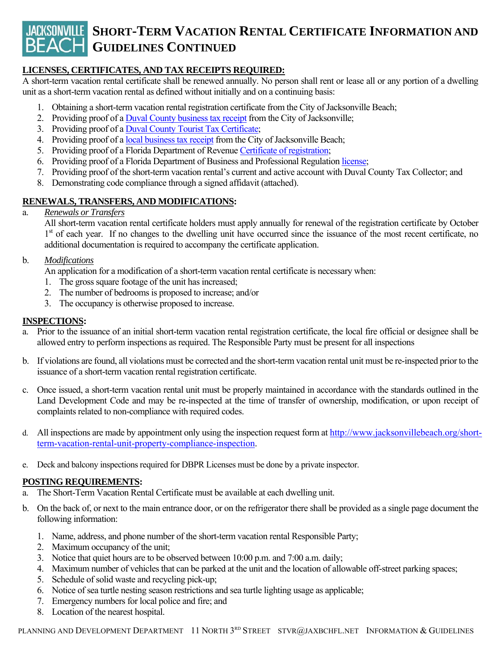# **JACKSONVILLE SHORT-TERM VACATION RENTAL CERTIFICATE INFORMATION AND BEACH GUIDELINES CONTINUED**

#### **LICENSES, CERTIFICATES, AND TAX RECEIPTS REQUIRED:**

A short-term vacation rental certificate shall be renewed annually. No person shall rent or lease all or any portion of a dwelling unit as a short-term vacation rental as defined without initially and on a continuing basis:

- 1. Obtaining a short-term vacation rental registration certificate from the City of Jacksonville Beach;
- 2. Providing proof of a Duval County business tax receipt from the City of Jacksonville;
- 3. Providing proof of a Duval County Tourist Tax Certificate;
- 4. Providing proof of a local business tax receipt from the City of Jacksonville Beach;
- 5. Providing proof of a Florida Department of Revenue Certificate of registration;
- 6. Providing proof of a Florida Department of Business and Professional Regulation license;
- 7. Providing proof of the short-term vacation rental's current and active account with Duval County Tax Collector; and
- 8. Demonstrating code compliance through a signed affidavit (attached).

#### **RENEWALS, TRANSFERS, AND MODIFICATIONS:**

#### a. *Renewals or Transfers*

 All short-term vacation rental certificate holders must apply annually for renewal of the registration certificate by October 1<sup>st</sup> of each year. If no changes to the dwelling unit have occurred since the issuance of the most recent certificate, no additional documentation is required to accompany the certificate application.

#### b. *Modifications*

An application for a modification of a short-term vacation rental certificate is necessary when:

- 1. The gross square footage of the unit has increased;
- 2. The number of bedrooms is proposed to increase; and/or
- 3. The occupancy is otherwise proposed to increase.

#### **INSPECTIONS:**

- a. Prior to the issuance of an initial short-term vacation rental registration certificate, the local fire official or designee shall be allowed entry to perform inspections as required. The Responsible Party must be present for all inspections
- b. If violations are found, all violations must be corrected and the short-term vacation rental unit must be re-inspected prior to the issuance of a short-term vacation rental registration certificate.
- c. Once issued, a short-term vacation rental unit must be properly maintained in accordance with the standards outlined in the Land Development Code and may be re-inspected at the time of transfer of ownership, modification, or upon receipt of complaints related to non-compliance with required codes.
- d. All inspections are made by appointment only using the inspection request form at http://www.jacksonvillebeach.org/shortterm-vacation-rental-unit-property-compliance-inspection.
- e. Deck and balcony inspections required for DBPR Licenses must be done by a private inspector.

#### **POSTING REQUIREMENTS:**

- a. The Short-Term Vacation Rental Certificate must be available at each dwelling unit.
- b. On the back of, or next to the main entrance door, or on the refrigerator there shall be provided as a single page document the following information:
	- 1. Name, address, and phone number of the short-term vacation rental Responsible Party;
	- 2. Maximum occupancy of the unit;
	- 3. Notice that quiet hours are to be observed between 10:00 p.m. and 7:00 a.m. daily;
	- 4. Maximum number of vehicles that can be parked at the unit and the location of allowable off-street parking spaces;
	- 5. Schedule of solid waste and recycling pick-up;
	- 6. Notice of sea turtle nesting season restrictions and sea turtle lighting usage as applicable;
	- 7. Emergency numbers for local police and fire; and
	- 8. Location of the nearest hospital.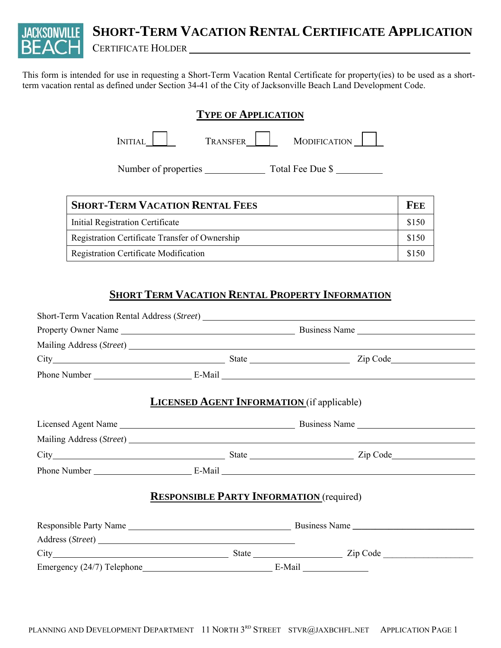**SHORT-TERM VACATION RENTAL CERTIFICATE APPLICATION**

CERTIFICATE HOLDER

This form is intended for use in requesting a Short-Term Vacation Rental Certificate for property(ies) to be used as a shortterm vacation rental as defined under Section 34-41 of the City of Jacksonville Beach Land Development Code.

| <b>TYPE OF APPLICATION</b> |          |                  |
|----------------------------|----------|------------------|
| <b>INITIAL</b>             | TRANSFER | MODIFICATION     |
| Number of properties       |          | Total Fee Due \$ |

| <b>SHORT-TERM VACATION RENTAL FEES</b>         |  |
|------------------------------------------------|--|
| Initial Registration Certificate               |  |
| Registration Certificate Transfer of Ownership |  |
| Registration Certificate Modification          |  |

### **SHORT TERM VACATION RENTAL PROPERTY INFORMATION**

|                  |                                                   | City Zip Code Zip Code |  |
|------------------|---------------------------------------------------|------------------------|--|
|                  |                                                   |                        |  |
|                  | <b>LICENSED AGENT INFORMATION</b> (if applicable) |                        |  |
|                  |                                                   |                        |  |
|                  |                                                   |                        |  |
|                  |                                                   |                        |  |
|                  |                                                   |                        |  |
|                  | <b>RESPONSIBLE PARTY INFORMATION</b> (required)   |                        |  |
|                  |                                                   |                        |  |
| Address (Street) |                                                   |                        |  |
|                  |                                                   |                        |  |
|                  |                                                   |                        |  |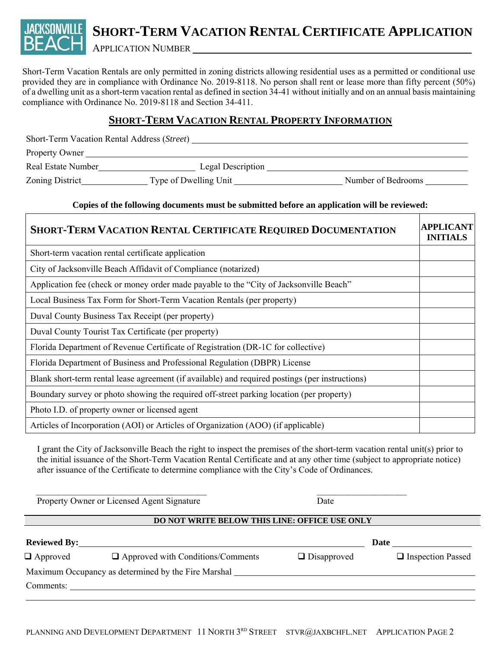## **SHORT-TERM VACATION RENTAL CERTIFICATE APPLICATION** APPLICATION NUMBER

Short-Term Vacation Rentals are only permitted in zoning districts allowing residential uses as a permitted or conditional use provided they are in compliance with Ordinance No. 2019-8118. No person shall rent or lease more than fifty percent (50%) of a dwelling unit as a short-term vacation rental as defined in section 34-41 without initially and on an annual basis maintaining compliance with Ordinance No. 2019-8118 and Section 34-411.

#### **SHORT-TERM VACATION RENTAL PROPERTY INFORMATION**

| Short-Term Vacation Rental Address (Street) |                       |                    |
|---------------------------------------------|-----------------------|--------------------|
| Property Owner                              |                       |                    |
| Real Estate Number                          | Legal Description     |                    |
| Zoning District                             | Type of Dwelling Unit | Number of Bedrooms |

#### **Copies of the following documents must be submitted before an application will be reviewed:**

| <b>SHORT-TERM VACATION RENTAL CERTIFICATE REQUIRED DOCUMENTATION</b>                            | <b>APPLICANT</b><br><b>INITIALS</b> |
|-------------------------------------------------------------------------------------------------|-------------------------------------|
| Short-term vacation rental certificate application                                              |                                     |
| City of Jacksonville Beach Affidavit of Compliance (notarized)                                  |                                     |
| Application fee (check or money order made payable to the "City of Jacksonville Beach"          |                                     |
| Local Business Tax Form for Short-Term Vacation Rentals (per property)                          |                                     |
| Duval County Business Tax Receipt (per property)                                                |                                     |
| Duval County Tourist Tax Certificate (per property)                                             |                                     |
| Florida Department of Revenue Certificate of Registration (DR-1C for collective)                |                                     |
| Florida Department of Business and Professional Regulation (DBPR) License                       |                                     |
| Blank short-term rental lease agreement (if available) and required postings (per instructions) |                                     |
| Boundary survey or photo showing the required off-street parking location (per property)        |                                     |
| Photo I.D. of property owner or licensed agent                                                  |                                     |
| Articles of Incorporation (AOI) or Articles of Organization (AOO) (if applicable)               |                                     |

I grant the City of Jacksonville Beach the right to inspect the premises of the short-term vacation rental unit(s) prior to the initial issuance of the Short-Term Vacation Rental Certificate and at any other time (subject to appropriate notice) after issuance of the Certificate to determine compliance with the City's Code of Ordinances.

 $\mathcal{L}_\text{max}$  , and the contribution of the contribution of the contribution of the contribution of the contribution of the contribution of the contribution of the contribution of the contribution of the contribution of t Property Owner or Licensed Agent Signature Date

#### **DO NOT WRITE BELOW THIS LINE: OFFICE USE ONLY**

| <b>Reviewed By:</b> |                                                     |                    | Date                |
|---------------------|-----------------------------------------------------|--------------------|---------------------|
| $\Box$ Approved     | $\Box$ Approved with Conditions/Comments            | $\Box$ Disapproved | □ Inspection Passed |
|                     | Maximum Occupancy as determined by the Fire Marshal |                    |                     |
| Comments:           |                                                     |                    |                     |
|                     |                                                     |                    |                     |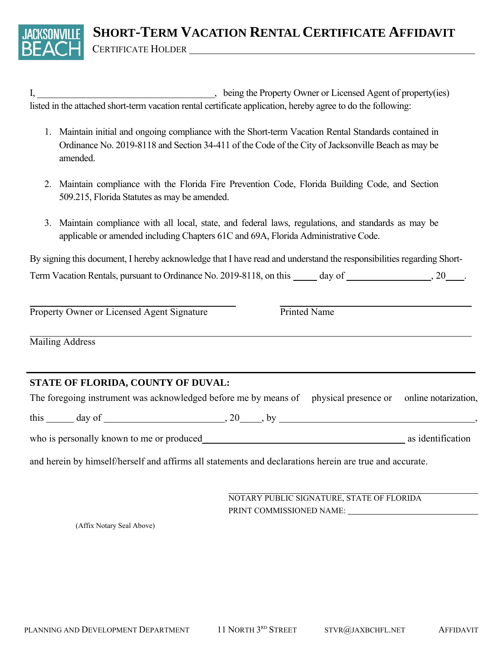I, being the Property Owner or Licensed Agent of property(ies) listed in the attached short-term vacation rental certificate application, hereby agree to do the following:

- 1. Maintain initial and ongoing compliance with the Short-term Vacation Rental Standards contained in Ordinance No. 2019-8118 and Section 34-411 of the Code of the City of Jacksonville Beach as may be amended.
- 2. Maintain compliance with the Florida Fire Prevention Code, Florida Building Code, and Section 509.215, Florida Statutes as may be amended.
- 3. Maintain compliance with all local, state, and federal laws, regulations, and standards as may be applicable or amended including Chapters 61C and 69A, Florida Administrative Code.

By signing this document, I hereby acknowledge that I have read and understand the responsibilities regarding Short-Term Vacation Rentals, pursuant to Ordinance No. 2019-8118, on this \_\_\_\_\_ day of \_\_\_\_\_\_\_\_\_\_\_\_\_\_\_\_\_, 20\_\_\_\_.

 $\overline{a}$ Property Owner or Licensed Agent Signature Printed Name

 $\overline{a}$ Mailing Address

#### **STATE OF FLORIDA, COUNTY OF DUVAL:**

The foregoing instrument was acknowledged before me by means of physical presence or online notarization,

this  $\_\_\_$  day of  $\_\_\_\_\_\_$ , 20  $\_\_\_$ , by  $\_\_\_\_\_\_\_\_\_\_$ 

who is personally known to me or produced as identification as identification

and herein by himself/herself and affirms all statements and declarations herein are true and accurate.

 $\overline{a}$ NOTARY PUBLIC SIGNATURE, STATE OF FLORIDA PRINT COMMISSIONED NAME:

(Affix Notary Seal Above)